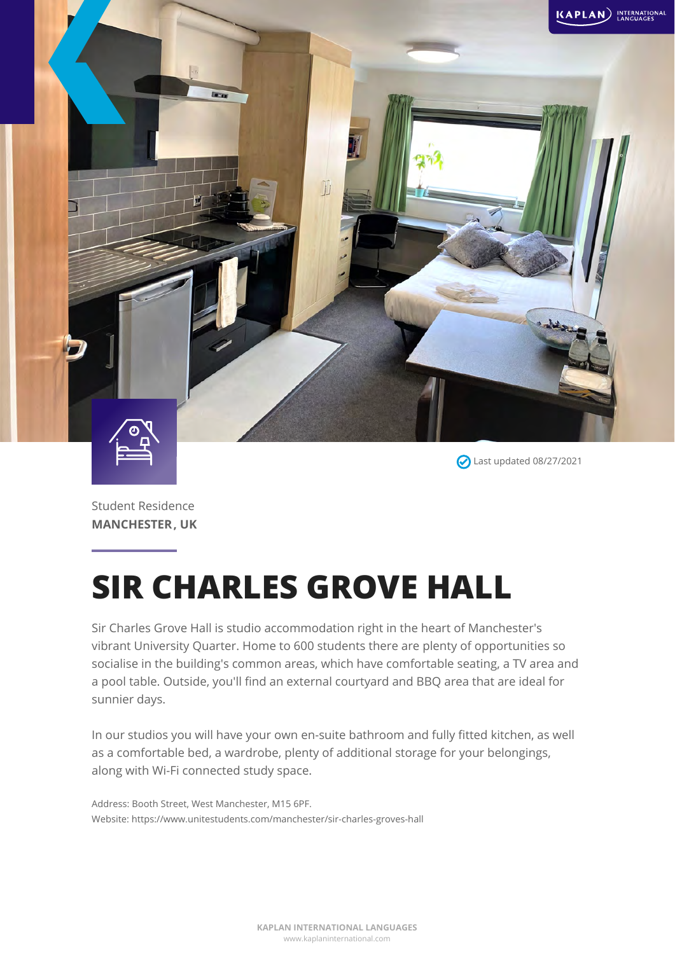

Last updated 08/27/2021

Student Residence **MANCHESTER, UK**

# **SIR CHARLES GROVE HALL**

Sir Charles Grove Hall is studio accommodation right in the heart of Manchester's vibrant University Quarter. Home to 600 students there are plenty of opportunities so socialise in the building's common areas, which have comfortable seating, a TV area and a pool table. Outside, you'll find an external courtyard and BBQ area that are ideal for sunnier days.

In our studios you will have your own en-suite bathroom and fully fitted kitchen, as well as a comfortable bed, a wardrobe, plenty of additional storage for your belongings, along with Wi-Fi connected study space.

Address: Booth Street, West Manchester, M15 6PF. Website: https://www.unitestudents.com/manchester/sir-charles-groves-hall